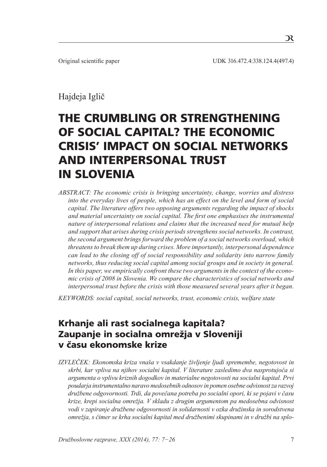$\mathcal{R}$ 

# Hajdeja Iglič

# THE CRUMBLING OR STRENGTHENING OF SOCIAL CAPITAL? THE ECONOMIC CRISIS' IMPACT ON SOCIAL NETWORKS AND INTERPERSONAL TRUST IN SLOVENIA

*ABSTRACT: The economic crisis is bringing uncertainty, change, worries and distress into the everyday lives of people, which has an effect on the level and form of social capital. The literature offers two opposing arguments regarding the impact of shocks and material uncertainty on social capital. The first one emphasises the instrumental nature of interpersonal relations and claims that the increased need for mutual help and support that arises during crisis periods strengthens social networks. In contrast, the second argument brings forward the problem of a social networks overload, which threatens to break them up during crises. More importantly, interpersonal dependence can lead to the closing off of social responsibility and solidarity into narrow family networks, thus reducing social capital among social groups and in society in general. In this paper, we empirically confront these two arguments in the context of the economic crisis of 2008 in Slovenia. We compare the characteristics of social networks and interpersonal trust before the crisis with those measured several years after it began.*

*KEYWORDS: social capital, social networks, trust, economic crisis, welfare state*

# Krhanje ali rast socialnega kapitala? Zaupanje in socialna omrežja v Sloveniji v času ekonomske krize

*IZVLEČEK: Ekonomska kriza vnaša v vsakdanje življenje ljudi spremembe, negotovost in skrbi, kar vpliva na njihov socialni kapital. V literature zasledimo dva nasprotujoča si argumenta o vplivu kriznih dogodkov in materialne negotovosti na socialni kapital. Prvi poudarja instrumentalno naravo medosebnih odnosov in pomen osebne odvisnost za razvoj družbene odgovornosti. Trdi, da povečana potreba po socialni opori, ki se pojavi v času krize, krepi socialna omrežja. V skladu z drugim argumentom pa medosebna odvisnost vodi v zapiranje družbene odgovornosti in solidarnosti v ozka družinska in sorodstvena omrežja, s čimer se krha socialni kapital med družbenimi skupinami in v družbi na splo-*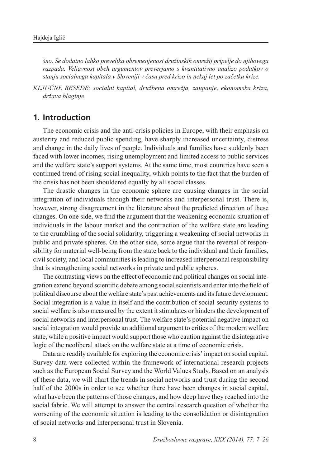*šno. Še dodatno lahko prevelika obremenjenost družinskih omrežij pripelje do njihovega razpada. Veljavnost obeh argumentov preverjamo s kvantitativno analizo podatkov o stanju socialnega kapitala v Sloveniji v času pred krizo in nekaj let po začetku krize.*

*KLJUČNE BESEDE: socialni kapital, družbena omrežja, zaupanje, ekonomska kriza, država blaginje* 

# **1. Introduction**

The economic crisis and the anti-crisis policies in Europe, with their emphasis on austerity and reduced public spending, have sharply increased uncertainty, distress and change in the daily lives of people. Individuals and families have suddenly been faced with lower incomes, rising unemployment and limited access to public services and the welfare state's support systems. At the same time, most countries have seen a continued trend of rising social inequality, which points to the fact that the burden of the crisis has not been shouldered equally by all social classes.

The drastic changes in the economic sphere are causing changes in the social integration of individuals through their networks and interpersonal trust. There is, however, strong disagreement in the literature about the predicted direction of these changes. On one side, we find the argument that the weakening economic situation of individuals in the labour market and the contraction of the welfare state are leading to the crumbling of the social solidarity, triggering a weakening of social networks in public and private spheres. On the other side, some argue that the reversal of responsibility for material well-being from the state back to the individual and their families, civil society, and local communities is leading to increased interpersonal responsibility that is strengthening social networks in private and public spheres.

The contrasting views on the effect of economic and political changes on social integration extend beyond scientific debate among social scientists and enter into the field of political discourse about the welfare state's past achievements and its future development. Social integration is a value in itself and the contribution of social security systems to social welfare is also measured by the extent it stimulates or hinders the development of social networks and interpersonal trust. The welfare state's potential negative impact on social integration would provide an additional argument to critics of the modern welfare state, while a positive impact would support those who caution against the disintegrative logic of the neoliberal attack on the welfare state at a time of economic crisis.

Data are readily available for exploring the economic crisis' impact on social capital. Survey data were collected within the framework of international research projects such as the European Social Survey and the World Values Study. Based on an analysis of these data, we will chart the trends in social networks and trust during the second half of the 2000s in order to see whether there have been changes in social capital, what have been the patterns of those changes, and how deep have they reached into the social fabric. We will attempt to answer the central research question of whether the worsening of the economic situation is leading to the consolidation or disintegration of social networks and interpersonal trust in Slovenia.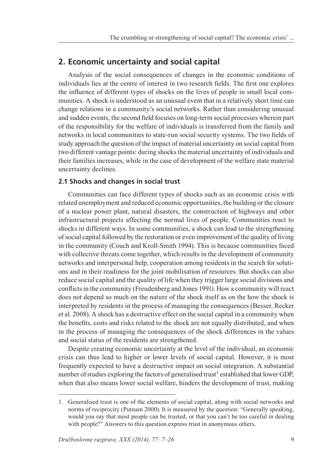# **2. Economic uncertainty and social capital**

Analysis of the social consequences of changes in the economic conditions of individuals lies at the centre of interest in two research fields. The first one explores the influence of different types of shocks on the lives of people in small local communities. A shock is understood as an unusual event that in a relatively short time can change relations in a community's social networks. Rather than considering unusual and sudden events, the second field focuses on long-term social processes wherein part of the responsibility for the welfare of individuals is transferred from the family and networks in local communities to state-run social security systems. The two fields of study approach the question of the impact of material uncertainty on social capital from two different vantage points: during shocks the material uncertainty of individuals and their families increases, while in the case of development of the welfare state material uncertainty declines.

#### **2.1 Shocks and changes in social trust**

Communities can face different types of shocks such as an economic crisis with related unemployment and reduced economic opportunities, the building or the closure of a nuclear power plant, natural disasters, the construction of highways and other infrastructural projects affecting the normal lives of people. Communities react to shocks in different ways. In some communities, a shock can lead to the strengthening of social capital followed by the restoration or even improvement of the quality of living in the community (Couch and Kroll-Smith 1994). This is because communities faced with collective threats come together, which results in the development of community networks and interpersonal help, cooperation among residents in the search for solutions and in their readiness for the joint mobilisation of resources. But shocks can also reduce social capital and the quality of life when they trigger large social divisions and conflicts in the community (Freudenberg and Jones 1991). How a community will react does not depend so much on the nature of the shock itself as on the how the shock is interpreted by residents in the process of managing the consequences (Besser, Recker et al. 2008). A shock has a destructive effect on the social capital in a community when the benefits, costs and risks related to the shock are not equally distributed, and when in the process of managing the consequences of the shock differences in the values and social status of the residents are strengthened.

Despite creating economic uncertainty at the level of the individual, an economic crisis can thus lead to higher or lower levels of social capital. However, it is most frequently expected to have a destructive impact on social integration. A substantial number of studies exploring the factors of generalised trust<sup>1</sup> established that lower GDP, when that also means lower social welfare, hinders the development of trust, making

<sup>1.</sup> Generalised trust is one of the elements of social capital, along with social networks and norms of reciprocity (Putnam 2000). It is measured by the question: "Generally speaking, would you say that most people can be trusted, or that you can't be too careful in dealing with people?" Answers to this question express trust in anonymous others.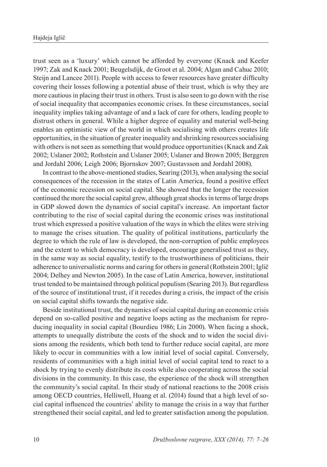trust seen as a 'luxury' which cannot be afforded by everyone (Knack and Keefer 1997; Zak and Knack 2001; Beugelsdijk, de Groot et al. 2004; Algan and Cahuc 2010; Steijn and Lancee 2011). People with access to fewer resources have greater difficulty covering their losses following a potential abuse of their trust, which is why they are more cautious in placing their trust in others. Trust is also seen to go down with the rise of social inequality that accompanies economic crises. In these circumstances, social inequality implies taking advantage of and a lack of care for others, leading people to distrust others in general. While a higher degree of equality and material well-being enables an optimistic view of the world in which socialising with others creates life opportunities, in the situation of greater inequality and shrinking resources socialising with others is not seen as something that would produce opportunities (Knack and Zak 2002; Uslaner 2002; Rothstein and Uslaner 2005; Uslaner and Brown 2005; Berggren and Jordahl 2006; Leigh 2006; Bjornskov 2007; Gustavsson and Jordahl 2008).

In contrast to the above-mentioned studies, Searing (2013), when analysing the social consequences of the recession in the states of Latin America, found a positive effect of the economic recession on social capital. She showed that the longer the recession continued the more the social capital grew, although great shocks in terms of large drops in GDP slowed down the dynamics of social capital's increase. An important factor contributing to the rise of social capital during the economic crises was institutional trust which expressed a positive valuation of the ways in which the elites were striving to manage the crises situation. The quality of political institutions, particularly the degree to which the rule of law is developed, the non-corruption of public employees and the extent to which democracy is developed, encourage generalised trust as they, in the same way as social equality, testify to the trustworthiness of politicians, their adherence to universalistic norms and caring for others in general (Rothstein 2001; Iglič 2004; Delhey and Newton 2005). In the case of Latin America, however, institutional trust tended to be maintained through political populism (Searing 2013). But regardless of the source of institutional trust, if it recedes during a crisis, the impact of the crisis on social capital shifts towards the negative side.

Beside institutional trust, the dynamics of social capital during an economic crisis depend on so-called positive and negative loops acting as the mechanism for reproducing inequality in social capital (Bourdieu 1986; Lin 2000). When facing a shock, attempts to unequally distribute the costs of the shock and to widen the social divisions among the residents, which both tend to further reduce social capital, are more likely to occur in communities with a low initial level of social capital. Conversely, residents of communities with a high initial level of social capital tend to react to a shock by trying to evenly distribute its costs while also cooperating across the social divisions in the community. In this case, the experience of the shock will strengthen the community's social capital. In their study of national reactions to the 2008 crisis among OECD countries, Helliwell, Huang et al. (2014) found that a high level of social capital influenced the countries' ability to manage the crisis in a way that further strengthened their social capital, and led to greater satisfaction among the population.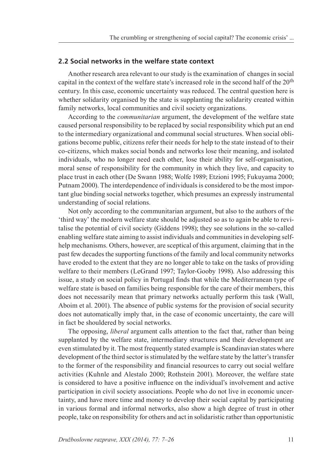#### **2.2 Social networks in the welfare state context**

Another research area relevant to our study is the examination of changes in social capital in the context of the welfare state's increased role in the second half of the 20th century. In this case, economic uncertainty was reduced. The central question here is whether solidarity organised by the state is supplanting the solidarity created within family networks, local communities and civil society organizations.

According to the *communitarian* argument, the development of the welfare state caused personal responsibility to be replaced by social responsibility which put an end to the intermediary organizational and communal social structures. When social obligations become public, citizens refer their needs for help to the state instead of to their co-citizens, which makes social bonds and networks lose their meaning, and isolated individuals, who no longer need each other, lose their ability for self-organisation, moral sense of responsibility for the community in which they live, and capacity to place trust in each other (De Swann 1988; Wolfe 1989; Etzioni 1995; Fukuyama 2000; Putnam 2000). The interdependence of individuals is considered to be the most important glue binding social networks together, which presumes an expressly instrumental understanding of social relations.

Not only according to the communitarian argument, but also to the authors of the 'third way' the modern welfare state should be adjusted so as to again be able to revitalise the potential of civil society (Giddens 1998); they see solutions in the so-called enabling welfare state aiming to assist individuals and communities in developing selfhelp mechanisms. Others, however, are sceptical of this argument, claiming that in the past few decades the supporting functions of the family and local community networks have eroded to the extent that they are no longer able to take on the tasks of providing welfare to their members (LeGrand 1997; Taylor-Gooby 1998). Also addressing this issue, a study on social policy in Portugal finds that while the Mediterranean type of welfare state is based on families being responsible for the care of their members, this does not necessarily mean that primary networks actually perform this task (Wall, Aboim et al. 2001). The absence of public systems for the provision of social security does not automatically imply that, in the case of economic uncertainty, the care will in fact be shouldered by social networks.

The opposing, *liberal* argument calls attention to the fact that, rather than being supplanted by the welfare state, intermediary structures and their development are even stimulated by it. The most frequently stated example is Scandinavian states where development of the third sector is stimulated by the welfare state by the latter's transfer to the former of the responsibility and financial resources to carry out social welfare activities (Kuhnle and Alestalo 2000; Rothstein 2001). Moreover, the welfare state is considered to have a positive influence on the individual's involvement and active participation in civil society associations. People who do not live in economic uncertainty, and have more time and money to develop their social capital by participating in various formal and informal networks, also show a high degree of trust in other people, take on responsibility for others and act in solidaristic rather than opportunistic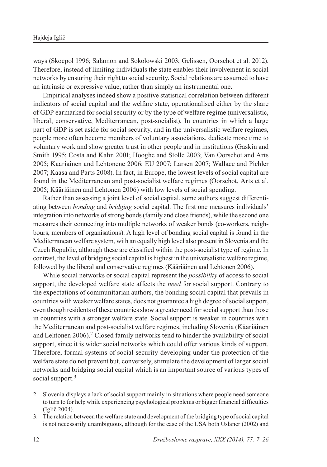ways (Skocpol 1996; Salamon and Sokolowski 2003; Gelissen, Oorschot et al. 2012). Therefore, instead of limiting individuals the state enables their involvement in social networks by ensuring their right to social security. Social relations are assumed to have an intrinsic or expressive value, rather than simply an instrumental one.

Empirical analyses indeed show a positive statistical correlation between different indicators of social capital and the welfare state, operationalised either by the share of GDP earmarked for social security or by the type of welfare regime (universalistic, liberal, conservative, Mediterranean, post-socialist). In countries in which a large part of GDP is set aside for social security, and in the universalistic welfare regimes, people more often become members of voluntary associations, dedicate more time to voluntary work and show greater trust in other people and in institutions (Gaskin and Smith 1995; Costa and Kahn 2001; Hooghe and Stolle 2003; Van Oorschot and Arts 2005; Kaariainen and Lehtonene 2006; EU 2007; Larsen 2007; Wallace and Pichler 2007; Kaasa and Parts 2008). In fact, in Europe, the lowest levels of social capital are found in the Mediterranean and post-socialist welfare regimes (Oorschot, Arts et al. 2005; Kääriäinen and Lehtonen 2006) with low levels of social spending.

Rather than assessing a joint level of social capital, some authors suggest differentiating between *bonding* and *bridging* social capital. The first one measures individuals' integration into networks of strong bonds (family and close friends), while the second one measures their connecting into multiple networks of weaker bonds (co-workers, neighbours, members of organisations). A high level of bonding social capital is found in the Mediterranean welfare system, with an equally high level also present in Slovenia and the Czech Republic, although these are classified within the post-socialist type of regime. In contrast, the level of bridging social capital is highest in the universalistic welfare regime, followed by the liberal and conservative regimes (Kääriäinen and Lehtonen 2006).

While social networks or social capital represent the *possibility* of access to social support, the developed welfare state affects the *need* for social support. Contrary to the expectations of communitarian authors, the bonding social capital that prevails in countries with weaker welfare states, does not guarantee a high degree of social support, even though residents of these countries show a greater need for social support than those in countries with a stronger welfare state. Social support is weaker in countries with the Mediterranean and post-socialist welfare regimes, including Slovenia (Kääriäinen and Lehtonen 2006).<sup>2</sup> Closed family networks tend to hinder the availability of social support, since it is wider social networks which could offer various kinds of support. Therefore, formal systems of social security developing under the protection of the welfare state do not prevent but, conversely, stimulate the development of larger social networks and bridging social capital which is an important source of various types of social support.<sup>3</sup>

<sup>2.</sup> Slovenia displays a lack of social support mainly in situations where people need someone to turn to for help while experiencing psychological problems or bigger financial difficulties (Iglič 2004).

<sup>3.</sup> The relation between the welfare state and development of the bridging type of social capital is not necessarily unambiguous, although for the case of the USA both Uslaner (2002) and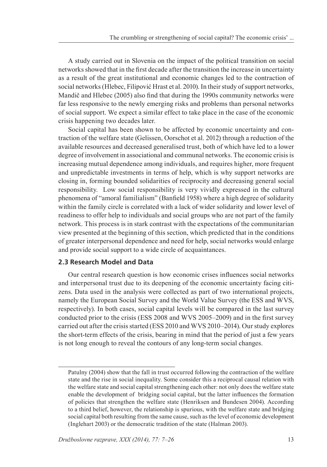A study carried out in Slovenia on the impact of the political transition on social networks showed that in the first decade after the transition the increase in uncertainty as a result of the great institutional and economic changes led to the contraction of social networks (Hlebec, Filipović Hrast et al. 2010). In their study of support networks, Mandič and Hlebec (2005) also find that during the 1990s community networks were far less responsive to the newly emerging risks and problems than personal networks of social support. We expect a similar effect to take place in the case of the economic crisis happening two decades later.

Social capital has been shown to be affected by economic uncertainty and contraction of the welfare state (Gelissen, Oorschot et al. 2012) through a reduction of the available resources and decreased generalised trust, both of which have led to a lower degree of involvement in associational and communal networks. The economic crisis is increasing mutual dependence among individuals, and requires higher, more frequent and unpredictable investments in terms of help, which is why support networks are closing in, forming bounded solidarities of reciprocity and decreasing general social responsibility. Low social responsibility is very vividly expressed in the cultural phenomena of "amoral familialism" (Banfield 1958) where a high degree of solidarity within the family circle is correlated with a lack of wider solidarity and lower level of readiness to offer help to individuals and social groups who are not part of the family network. This process is in stark contrast with the expectations of the communitarian view presented at the beginning of this section, which predicted that in the conditions of greater interpersonal dependence and need for help, social networks would enlarge and provide social support to a wide circle of acquaintances.

#### **2.3 Research Model and Data**

Our central research question is how economic crises influences social networks and interpersonal trust due to its deepening of the economic uncertainty facing citizens. Data used in the analysis were collected as part of two international projects, namely the European Social Survey and the World Value Survey (the ESS and WVS, respectively). In both cases, social capital levels will be compared in the last survey conducted prior to the crisis (ESS 2008 and WVS 2005–2009) and in the first survey carried out after the crisis started (ESS 2010 and WVS 2010–2014). Our study explores the short-term effects of the crisis, bearing in mind that the period of just a few years is not long enough to reveal the contours of any long-term social changes.

Patulny (2004) show that the fall in trust occurred following the contraction of the welfare state and the rise in social inequality. Some consider this a reciprocal causal relation with the welfare state and social capital strengthening each other: not only does the welfare state enable the development of bridging social capital, but the latter influences the formation of policies that strengthen the welfare state (Henriksen and Bundesen 2004). According to a third belief, however, the relationship is spurious, with the welfare state and bridging social capital both resulting from the same cause, such as the level of economic development (Inglehart 2003) or the democratic tradition of the state (Halman 2003).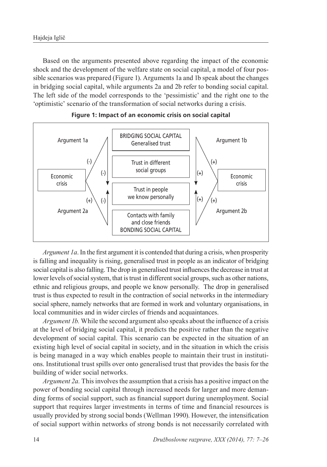Based on the arguments presented above regarding the impact of the economic shock and the development of the welfare state on social capital, a model of four possible scenarios was prepared (Figure 1). Arguments 1a and 1b speak about the changes in bridging social capital, while arguments 2a and 2b refer to bonding social capital. The left side of the model corresponds to the 'pessimistic' and the right one to the 'optimistic' scenario of the transformation of social networks during a crisis.





*Argument 1a*. In the first argument it is contended that during a crisis, when prosperity is falling and inequality is rising, generalised trust in people as an indicator of bridging social capital is also falling. The drop in generalised trust influences the decrease in trust at lower levels of social system, that is trust in different social groups, such as other nations, ethnic and religious groups, and people we know personally. The drop in generalised trust is thus expected to result in the contraction of social networks in the intermediary social sphere, namely networks that are formed in work and voluntary organisations, in local communities and in wider circles of friends and acquaintances.

*Argument 1b.* While the second argument also speaks about the influence of a crisis at the level of bridging social capital, it predicts the positive rather than the negative development of social capital. This scenario can be expected in the situation of an existing high level of social capital in society, and in the situation in which the crisis is being managed in a way which enables people to maintain their trust in institutions. Institutional trust spills over onto generalised trust that provides the basis for the building of wider social networks.

*Argument 2a.* This involves the assumption that a crisis has a positive impact on the power of bonding social capital through increased needs for larger and more demanding forms of social support, such as financial support during unemployment. Social support that requires larger investments in terms of time and financial resources is usually provided by strong social bonds (Wellman 1990). However, the intensification of social support within networks of strong bonds is not necessarily correlated with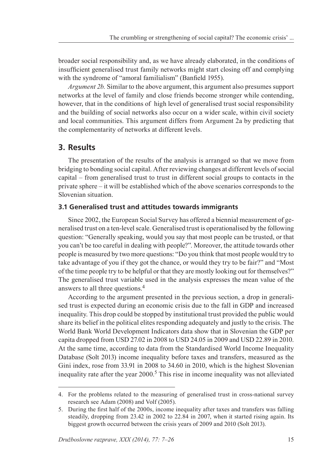broader social responsibility and, as we have already elaborated, in the conditions of insufficient generalised trust family networks might start closing off and complying with the syndrome of "amoral familialism" (Banfield 1955).

*Argument 2b.* Similar to the above argument, this argument also presumes support networks at the level of family and close friends become stronger while contending, however, that in the conditions of high level of generalised trust social responsibility and the building of social networks also occur on a wider scale, within civil society and local communities. This argument differs from Argument 2a by predicting that the complementarity of networks at different levels.

## **3. Results**

The presentation of the results of the analysis is arranged so that we move from bridging to bonding social capital. After reviewing changes at different levels of social capital – from generalised trust to trust in different social groups to contacts in the private sphere – it will be established which of the above scenarios corresponds to the Slovenian situation.

#### **3.1 Generalised trust and attitudes towards immigrants**

Since 2002, the European Social Survey has offered a biennial measurement of generalised trust on a ten-level scale. Generalised trust is operationalised by the following question: "Generally speaking, would you say that most people can be trusted, or that you can't be too careful in dealing with people?". Moreover, the attitude towards other people is measured by two more questions: "Do you think that most people would try to take advantage of you if they got the chance, or would they try to be fair?" and "Most of the time people try to be helpful or that they are mostly looking out for themselves?" The generalised trust variable used in the analysis expresses the mean value of the answers to all three questions.<sup>4</sup>

According to the argument presented in the previous section, a drop in generalised trust is expected during an economic crisis due to the fall in GDP and increased inequality. This drop could be stopped by institutional trust provided the public would share its belief in the political elites responding adequately and justly to the crisis. The World Bank World Development Indicators data show that in Slovenian the GDP per capita dropped from USD 27.02 in 2008 to USD 24.05 in 2009 and USD 22.89 in 2010. At the same time, according to data from the Standardised World Income Inequality Database (Solt 2013) income inequality before taxes and transfers, measured as the Gini index, rose from 33.91 in 2008 to 34.60 in 2010, which is the highest Slovenian inequality rate after the year 2000.<sup>5</sup> This rise in income inequality was not alleviated

<sup>4.</sup> For the problems related to the measuring of generalised trust in cross-national survey research see Adam (2008) and Volf (2005).

<sup>5.</sup> During the first half of the 2000s, income inequality after taxes and transfers was falling steadily, dropping from 23.42 in 2002 to 22.84 in 2007, when it started rising again. Its biggest growth occurred between the crisis years of 2009 and 2010 (Solt 2013).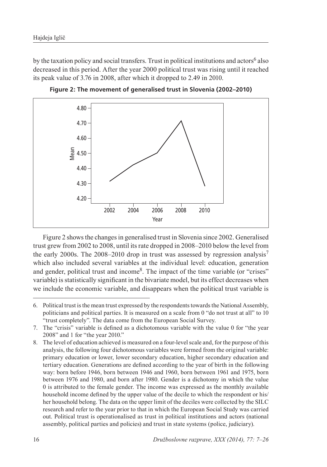by the taxation policy and social transfers. Trust in political institutions and actors<sup>6</sup> also decreased in this period. After the year 2000 political trust was rising until it reached its peak value of 3.76 in 2008, after which it dropped to 2.49 in 2010.



**Figure 2: The movement of generalised trust in Slovenia (2002–2010)**

Figure 2 shows the changes in generalised trust in Slovenia since 2002. Generalised trust grew from 2002 to 2008, until its rate dropped in 2008–2010 below the level from the early 2000s. The 2008–2010 drop in trust was assessed by regression analysis<sup>7</sup> which also included several variables at the individual level: education, generation and gender, political trust and income<sup>8</sup>. The impact of the time variable (or "crises" variable) is statistically significant in the bivariate model, but its effect decreases when we include the economic variable, and disappears when the political trust variable is

<sup>6.</sup> Political trust is the mean trust expressed by the respondents towards the National Assembly, politicians and political parties. It is measured on a scale from 0 "do not trust at all" to 10 "trust completely". The data come from the European Social Survey.

<sup>7</sup>. The "crisis" variable is defined as a dichotomous variable with the value 0 for "the year 2008" and 1 for "the year 2010."

<sup>8.</sup> The level of education achieved is measured on a four-level scale and, for the purpose of this analysis, the following four dichotomous variables were formed from the original variable: primary education or lower, lower secondary education, higher secondary education and tertiary education. Generations are defined according to the year of birth in the following way: born before 1946, born between 1946 and 1960, born between 1961 and 1975, born between 1976 and 1980, and born after 1980. Gender is a dichotomy in which the value 0 is attributed to the female gender. The income was expressed as the monthly available household income defined by the upper value of the decile to which the respondent or his/ her household belong. The data on the upper limit of the deciles were collected by the SILC research and refer to the year prior to that in which the European Social Study was carried out. Political trust is operationalised as trust in political institutions and actors (national assembly, political parties and policies) and trust in state systems (police, judiciary).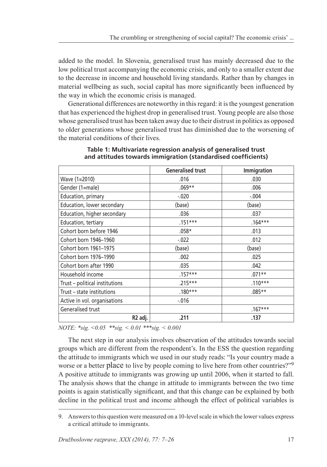added to the model. In Slovenia, generalised trust has mainly decreased due to the low political trust accompanying the economic crisis, and only to a smaller extent due to the decrease in income and household living standards. Rather than by changes in material wellbeing as such, social capital has more significantly been influenced by the way in which the economic crisis is managed.

Generational differences are noteworthy in this regard: it is the youngest generation that has experienced the highest drop in generalised trust. Young people are also those whose generalised trust has been taken away due to their distrust in politics as opposed to older generations whose generalised trust has diminished due to the worsening of the material conditions of their lives.

|                                | <b>Generalised trust</b> | Immigration |  |
|--------------------------------|--------------------------|-------------|--|
| Wave (1=2010)                  | .016                     | .030        |  |
| Gender (1=male)                | $.069**$                 | .006        |  |
| Education, primary             | $-0.020$                 | $-.004$     |  |
| Education, lower secondary     | (base)                   | (base)      |  |
| Education, higher secondary    | .036                     | .037        |  |
| Education, tertiary            | $.151***$                | $.164***$   |  |
| Cohort born before 1946        | $.058*$                  | .013        |  |
| Cohort born 1946-1960          | $-0.022$                 | .012        |  |
| Cohort born 1961-1975          | (base)                   | (base)      |  |
| Cohort born 1976-1990          | .002                     | .025        |  |
| Cohort born after 1990         | .035                     | .042        |  |
| Household income               | $.157***$                | $.071**$    |  |
| Trust - political institutions | $.215***$                | $.110***$   |  |
| Trust – state institutions     | $.180***$                | $.085**$    |  |
| Active in vol. organisations   | $-0.016$                 |             |  |
| Generalised trust              |                          | $.167***$   |  |
| R2 adj.                        | .211                     | .137        |  |

#### **Table 1: Multivariate regression analysis of generalised trust and attitudes towards immigration (standardised coefficients)**

*NOTE: \*sig. <0.05 \*\*sig. < 0.01 \*\*\*sig. < 0.001*

The next step in our analysis involves observation of the attitudes towards social groups which are different from the respondent's. In the ESS the question regarding the attitude to immigrants which we used in our study reads: "Is your country made a worse or a better place to live by people coming to live here from other countries?"<sup>9</sup> A positive attitude to immigrants was growing up until 2006, when it started to fall. The analysis shows that the change in attitude to immigrants between the two time points is again statistically significant, and that this change can be explained by both decline in the political trust and income although the effect of political variables is

<sup>9.</sup> Answers to this question were measured on a 10-level scale in which the lower values express a critical attitude to immigrants.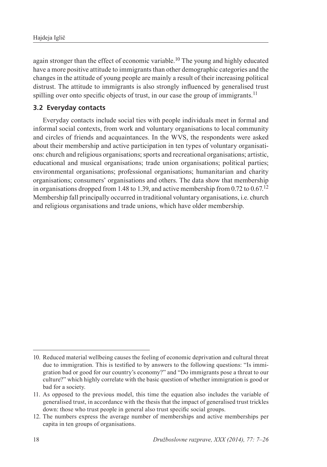again stronger than the effect of economic variable.10 The young and highly educated have a more positive attitude to immigrants than other demographic categories and the changes in the attitude of young people are mainly a result of their increasing political distrust. The attitude to immigrants is also strongly influenced by generalised trust spilling over onto specific objects of trust, in our case the group of immigrants.<sup>11</sup>

### **3.2 Everyday contacts**

Everyday contacts include social ties with people individuals meet in formal and informal social contexts, from work and voluntary organisations to local community and circles of friends and acquaintances. In the WVS, the respondents were asked about their membership and active participation in ten types of voluntary organisations: church and religious organisations; sports and recreational organisations; artistic, educational and musical organisations; trade union organisations; political parties; environmental organisations; professional organisations; humanitarian and charity organisations; consumers' organisations and others. The data show that membership in organisations dropped from 1.48 to 1.39, and active membership from 0.72 to 0.67.<sup>12</sup> Membership fall principally occurred in traditional voluntary organisations, i.e. church and religious organisations and trade unions, which have older membership.

<sup>10.</sup> Reduced material wellbeing causes the feeling of economic deprivation and cultural threat due to immigration. This is testified to by answers to the following questions: "Is immigration bad or good for our country's economy?" and "Do immigrants pose a threat to our culture?" which highly correlate with the basic question of whether immigration is good or bad for a society.

<sup>11.</sup> As opposed to the previous model, this time the equation also includes the variable of generalised trust, in accordance with the thesis that the impact of generalised trust trickles down: those who trust people in general also trust specific social groups.

<sup>12.</sup> The numbers express the average number of memberships and active memberships per capita in ten groups of organisations.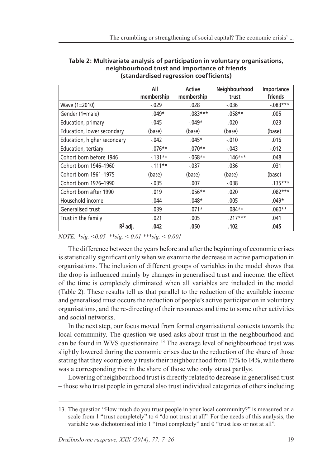|                             | All<br>membership | Active<br>membership | Neighbourhood<br>trust | Importance<br>friends |
|-----------------------------|-------------------|----------------------|------------------------|-----------------------|
| Wave (1=2010)               | $-0.029$          | .028                 | $-0.036$               | $-0.083***$           |
| Gender (1=male)             | $.049*$           | $.083***$            | $.058**$               | .005                  |
| Education, primary          | $-0.045$          | $-.049*$             | .020                   | .023                  |
| Education, lower secondary  | (base)            | (base)               | (base)                 | (base)                |
| Education, higher secondary | $-0.042$          | $.045*$              | $-.010$                | .016                  |
| Education, tertiary         | $.076**$          | $.070**$             | $-.043$                | $-0.012$              |
| Cohort born before 1946     | $-131**$          | $-068**$             | $.146***$              | .048                  |
| Cohort born 1946-1960       | $-111**$          | $-0.037$             | .036                   | .031                  |
| Cohort born 1961-1975       | (base)            | (base)               | (base)                 | (base)                |
| Cohort born 1976-1990       | $-0.035$          | .007                 | $-0.038$               | $.135***$             |
| Cohort born after 1990      | .019              | $.056**$             | .020                   | $.082***$             |
| Household income            | .044              | $.048*$              | .005                   | $.049*$               |
| Generalised trust           | .039              | $.071*$              | $.084**$               | $.060**$              |
| Trust in the family         | .021              | .005                 | $.217***$              | .041                  |
| $R^2$ adj.                  | .042              | .050                 | .102                   | .045                  |

**Table 2: Multivariate analysis of participation in voluntary organisations, neighbourhood trust and importance of friends (standardised regression coefficients)**

*NOTE: \*sig. <0.05 \*\*sig. < 0.01 \*\*\*sig. < 0.001*

The difference between the years before and after the beginning of economic crises is statistically significant only when we examine the decrease in active participation in organisations. The inclusion of different groups of variables in the model shows that the drop is influenced mainly by changes in generalised trust and income: the effect of the time is completely eliminated when all variables are included in the model (Table 2). These results tell us that parallel to the reduction of the available income and generalised trust occurs the reduction of people's active participation in voluntary organisations, and the re-directing of their resources and time to some other activities and social networks.

In the next step, our focus moved from formal organisational contexts towards the local community. The question we used asks about trust in the neighbourhood and can be found in WVS questionnaire.<sup>13</sup> The average level of neighbourhood trust was slightly lowered during the economic crises due to the reduction of the share of those stating that they »completely trust« their neighbourhood from 17% to 14%, while there was a corresponding rise in the share of those who only »trust partly«.

Lowering of neighbourhood trust is directly related to decrease in generalised trust – those who trust people in general also trust individual categories of others including

<sup>13.</sup> The question "How much do you trust people in your local community?" is measured on a scale from 1 "trust completely" to 4 "do not trust at all". For the needs of this analysis, the variable was dichotomised into 1 "trust completely" and 0 "trust less or not at all".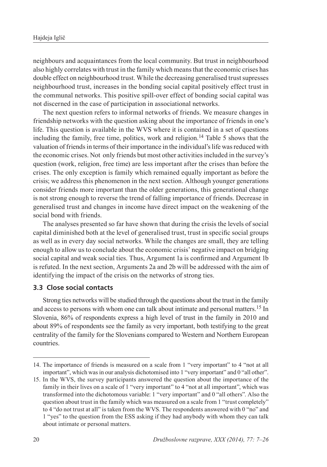neighbours and acquaintances from the local community. But trust in neighbourhood also highly correlates with trust in the family which means that the economic crises has double effect on neighbourhood trust. While the decreasing generalised trust supresses neighbourhood trust, increases in the bonding social capital positively effect trust in the communal networks. This positive spill-over effect of bonding social capital was not discerned in the case of participation in associational networks.

The next question refers to informal networks of friends. We measure changes in friendship networks with the question asking about the importance of friends in one's life. This question is available in the WVS where it is contained in a set of questions including the family, free time, politics, work and religion.<sup>14</sup> Table 5 shows that the valuation of friends in terms of their importance in the individual's life was reduced with the economic crises. Not only friends but most other activities included in the survey's question (work, religion, free time) are less important after the crises than before the crises. The only exception is family which remained equally important as before the crisis; we address this phenomenon in the next section. Although younger generations consider friends more important than the older generations, this generational change is not strong enough to reverse the trend of falling importance of friends. Decrease in generalised trust and changes in income have direct impact on the weakening of the social bond with friends.

The analyses presented so far have shown that during the crisis the levels of social capital diminished both at the level of generalised trust, trust in specific social groups as well as in every day social networks. While the changes are small, they are telling enough to allow us to conclude about the economic crisis' negative impact on bridging social capital and weak social ties. Thus, Argument 1a is confirmed and Argument 1b is refuted. In the next section, Arguments 2a and 2b will be addressed with the aim of identifying the impact of the crisis on the networks of strong ties.

#### **3.3 Close social contacts**

Strong ties networks will be studied through the questions about the trust in the family and access to persons with whom one can talk about intimate and personal matters.15 In Slovenia, 86% of respondents express a high level of trust in the family in 2010 and about 89% of respondents see the family as very important, both testifying to the great centrality of the family for the Slovenians compared to Western and Northern European countries.

<sup>14.</sup> The importance of friends is measured on a scale from 1 "very important" to 4 "not at all important", which was in our analysis dichotomised into 1 "very important" and 0 "all other".

<sup>15.</sup> In the WVS, the survey participants answered the question about the importance of the family in their lives on a scale of 1 "very important" to 4 "not at all important", which was transformed into the dichotomous variable: 1 "very important" and 0 "all others". Also the question about trust in the family which was measured on a scale from 1 "trust completely" to 4 "do not trust at all" is taken from the WVS. The respondents answered with 0 "no" and 1 "yes" to the question from the ESS asking if they had anybody with whom they can talk about intimate or personal matters.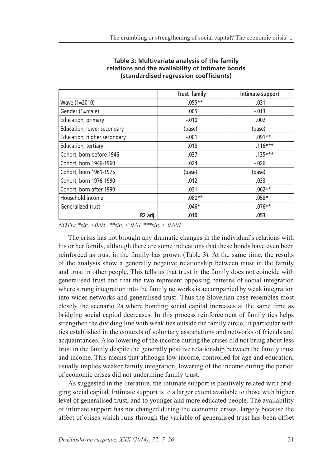|                             | Trust family | Intimate support |
|-----------------------------|--------------|------------------|
| Wave (1=2010)               | $.055**$     | .031             |
| Gender (1=male)             | .005         | $-.013$          |
| Education, primary          | $-.010$      | .002             |
| Education, lower secondary  | (base)       | (base)           |
| Education, higher secondary | $-.001$      | $.091**$         |
| Education, tertiary         | .018         | $.116***$        |
| Cohort, born before 1946    | .037         | $-135***$        |
| Cohort, born 1946-1960      | .024         | $-.026$          |
| Cohort, born 1961-1975      | (base)       | (base)           |
| Cohort, born 1976-1990      | .012         | .033             |
| Cohort, born after 1990     | .031         | $.062**$         |
| Household income            | $.080**$     | $.058*$          |
| Generalized trust           | $-.046*$     | $.076**$         |
| R <sub>2</sub> adj.         | .010         | .053             |

#### **Table 3: Multivariate analysis of the family relations and the availability of intimate bonds (standardised regression coefficients)**

*NOTE: \*sig. <0.05 \*\*sig. < 0.01 \*\*\*sig. < 0.001*

The crisis has not brought any dramatic changes in the individual's relations with his or her family, although there are some indications that these bonds have even been reinforced as trust in the family has grown (Table 3). At the same time, the results of the analysis show a generally negative relationship between trust in the family and trust in other people. This tells us that trust in the family does not coincide with generalised trust and that the two represent opposing patterns of social integration where strong integration into the family networks is accompanied by weak integration into wider networks and generalised trust. Thus the Slovenian case resembles most closely the scenario 2a where bonding social capital increases at the same time as bridging social capital decreases. In this process reinforcement of family ties helps strengthen the dividing line with weak ties outside the family circle, in particular with ties established in the contexts of voluntary associations and networks of friends and acquaintances. Also lowering of the income during the crises did not bring about less trust in the family despite the generally positive relationship between the family trust and income. This means that although low income, controlled for age and education, usually implies weaker family integration, lowering of the income during the period of economic crises did not undermine family trust.

As suggested in the literature, the intimate support is positively related with bridging social capital. Intimate support is to a larger extent available to those with higher level of generalised trust, and to younger and more educated people. The availability of intimate support has not changed during the economic crises, largely because the affect of crises which runs through the variable of generalised trust has been offset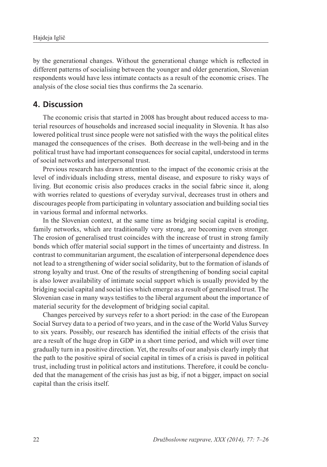by the generational changes. Without the generational change which is reflected in different patterns of socialising between the younger and older generation, Slovenian respondents would have less intimate contacts as a result of the economic crises. The analysis of the close social ties thus confirms the 2a scenario.

## **4. Discussion**

The economic crisis that started in 2008 has brought about reduced access to material resources of households and increased social inequality in Slovenia. It has also lowered political trust since people were not satisfied with the ways the political elites managed the consequences of the crises. Both decrease in the well-being and in the political trust have had important consequences for social capital, understood in terms of social networks and interpersonal trust.

Previous research has drawn attention to the impact of the economic crisis at the level of individuals including stress, mental disease, and exposure to risky ways of living. But economic crisis also produces cracks in the social fabric since it, along with worries related to questions of everyday survival, decreases trust in others and discourages people from participating in voluntary association and building social ties in various formal and informal networks.

In the Slovenian context, at the same time as bridging social capital is eroding, family networks, which are traditionally very strong, are becoming even stronger. The erosion of generalised trust coincides with the increase of trust in strong family bonds which offer material social support in the times of uncertainty and distress. In contrast to communitarian argument, the escalation of interpersonal dependence does not lead to a strengthening of wider social solidarity, but to the formation of islands of strong loyalty and trust. One of the results of strengthening of bonding social capital is also lower availability of intimate social support which is usually provided by the bridging social capital and social ties which emerge as a result of generalised trust. The Slovenian case in many ways testifies to the liberal argument about the importance of material security for the development of bridging social capital.

Changes perceived by surveys refer to a short period: in the case of the European Social Survey data to a period of two years, and in the case of the World Valus Survey to six years. Possibly, our research has identified the initial effects of the crisis that are a result of the huge drop in GDP in a short time period, and which will over time gradually turn in a positive direction. Yet, the results of our analysis clearly imply that the path to the positive spiral of social capital in times of a crisis is paved in political trust, including trust in political actors and institutions. Therefore, it could be concluded that the management of the crisis has just as big, if not a bigger, impact on social capital than the crisis itself.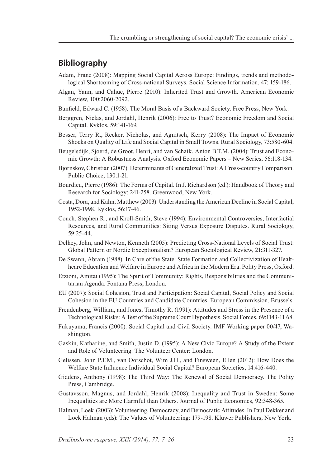# **Bibliography**

- Adam, Frane (2008): Mapping Social Capital Across Europe: Findings, trends and methodological Shortcoming of Cross-national Surveys. Social Science Information, 47: 159-186.
- Algan, Yann, and Cahuc, Pierre (2010): Inherited Trust and Growth. American Economic Review, 100:2060-2092.
- Banfield, Edward C. (1958): The Moral Basis of a Backward Society. Free Press, New York.
- Berggren, Niclas, and Jordahl, Henrik (2006): Free to Trust? Economic Freedom and Social Capital. Kyklos, 59:141-169.
- Besser, Terry R., Recker, Nicholas, and Agnitsch, Kerry (2008): The Impact of Economic Shocks on Quality of Life and Social Capital in Small Towns. Rural Sociology, 73:580-604.
- Beugelsdijk, Sjoerd, de Groot, Henri, and van Schaik, Anton B.T.M. (2004): Trust and Economic Growth: A Robustness Analysis. Oxford Economic Papers – New Series, 56:118-134.
- Bjornskov, Christian (2007): Determinants of Generalized Trust: A Cross-country Comparison. Public Choice, 130:1-21.
- Bourdieu, Pierre (1986): The Forms of Capital. In J. Richardson (ed.): Handbook of Theory and Research for Sociology: 241-258. Greenwood, New York.
- Costa, Dora, and Kahn, Matthew (2003): Understanding the American Decline in Social Capital, 1952-1998. Kyklos, 56:17-46.
- Couch, Stephen R., and Kroll-Smith, Steve (1994): Environmental Controversies, Interfactial Resources, and Rural Communities: Siting Versus Exposure Disputes. Rural Sociology, 59:25-44.
- Delhey, John, and Newton, Kenneth (2005): Predicting Cross-National Levels of Social Trust: Global Pattern or Nordic Exceptionalism? European Sociological Review, 21:311-327.
- De Swann, Abram (1988): In Care of the State: State Formation and Collectivization of Healthcare Education and Welfare in Europe and Africa in the Modern Era. Polity Press, Oxford.
- Etzioni, Amitai (1995): The Spirit of Community: Rights, Responsibilities and the Communitarian Agenda. Fontana Press, London.
- EU (2007): Social Cohesion, Trust and Participation: Social Capital, Social Policy and Social Cohesion in the EU Countries and Candidate Countries. European Commission, Brussels.
- Freudenberg, William, and Jones, Timothy R. (1991): Attitudes and Stress in the Presence of a Technological Risks: A Test of the Supreme Court Hypothesis. Social Forces, 69:1143-11 68.
- Fukuyama, Francis (2000): Social Capital and Civil Society. IMF Working paper 00/47, Washington.
- Gaskin, Katharine, and Smith, Justin D. (1995): A New Civic Europe? A Study of the Extent and Role of Volunteering. The Volunteer Center: London.
- Gelissen, John P.T.M., van Oorschot, Wim J.H., and Finsween, Ellen (2012): How Does the Welfare State Influence Individual Social Capital? European Societies, 14:416-440.
- Giddens, Anthony (1998): The Third Way: The Renewal of Social Democracy. The Polity Press, Cambridge.
- Gustavsson, Magnus, and Jordahl, Henrik (2008): Inequality and Trust in Sweden: Some Inequalities are More Harmful than Others. Journal of Public Economics, 92:348-365.
- Halman, Loek (2003): Volunteering, Democracy, and Democratic Attitudes. In Paul Dekker and Loek Halman (eds): The Values of Volunteering: 179-198. Kluwer Publishers, New York.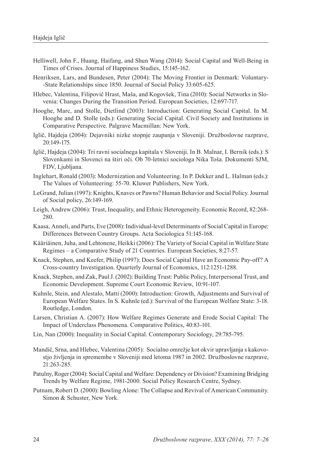- Helliwell, John F., Huang, Haifang, and Shun Wang (2014): Social Capital and Well-Being in Times of Crises. Journal of Happiness Studies, 15:145-162.
- Henriksen, Lars, and Bundesen, Peter (2004): The Moving Frontier in Denmark: Voluntary- -State Relationships since 1850. Journal of Social Policy 33:605-625.
- Hlebec, Valentina, Filipovič Hrast, Maša, and Kogovšek, Tina (2010): Social Networks in Slovenia: Changes During the Transition Period. European Societies, 12:697-717.
- Hooghe, Marc, and Stolle, Dietlind (2003): Introduction: Generating Social Capital. In M. Hooghe and D. Stolle (eds.): Generating Social Capital. Civil Society and Institutions in Comparative Perspective. Palgrave Macmillan: New York.
- Iglič, Hajdeja (2004): Dejavniki nizke stopnje zaupanja v Sloveniji. Družboslovne razprave, 20:149-175.
- Iglič, Hajdeja (2004): Tri ravni socialnega kapitala v Sloveniji. In B. Malnar, I. Bernik (eds.): S Slovenkami in Slovenci na štiri oči. Ob 70-letnici sociologa Nika Toša. Dokumenti SJM, FDV, Ljubljana.
- Inglehart, Ronald (2003): Modernization and Volunteering. In P. Dekker and L. Halman (eds.): The Values of Volunteering: 55-70. Kluwer Publishers, New York.
- LeGrand, Julian (1997): Knights, Knaves or Pawns? Human Behavior and Social Policy. Journal of Social policy, 26:149-169.
- Leigh, Andrew (2006): Trust, Inequality, and Ethnic Heterogeneity. Economic Record, 82:268- 280.
- Kaasa, Anneli, and Parts, Eve (2008): Individual-level Determinants of Social Capital in Europe: Differences Between Country Groups. Acta Sociologica 51:145-168.
- Kääriäinen, Juha, and Lehtonene, Heikki (2006): The Variety of Social Capital in Welfare State Regimes – a Comparative Study of 21 Countries. European Societies, 8:27-57.
- Knack, Stephen, and Keefer, Philip (1997): Does Social Capital Have an Economic Pay-off? A Cross-country Investigation. Quarterly Journal of Economics, 112:1251-1288.
- Knack, Stephen, and Zak, Paul J. (2002): Building Trust: Public Policy, Interpersonal Trust, and Economic Development. Supreme Court Economic Review, 10:91-107.
- Kuhnle, Stein, and Alestalo, Matti (2000): Introduction: Growth, Adjustments and Survival of European Welfare States. In S. Kuhnle (ed.): Survival of the European Welfare State: 3-18. Routledge, London.
- Larsen, Christian A. (2007): How Welfare Regimes Generate and Erode Social Capital: The Impact of Underclass Phenomena. Comparative Politics, 40:83-101.
- Lin, Nan (2000): Inequality in Social Capital. Contemporary Sociology, 29:785-795.
- Mandič, Srna, and Hlebec, Valentina (2005): Socialno omrežje kot okvir upravljanja s kakovostjo življenja in spremembe v Sloveniji med letoma 1987 in 2002. Družboslovne razprave, 21:263-285.
- Patulny, Roger (2004): Social Capital and Welfare: Dependency or Division? Examining Bridging Trends by Welfare Regime, 1981-2000. Social Policy Research Centre, Sydney.
- Putnam, Robert D. (2000): Bowling Alone: The Collapse and Revival of American Community. Simon & Schuster, New York.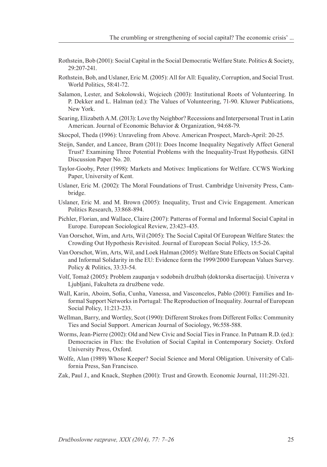- Rothstein, Bob (2001): Social Capital in the Social Democratic Welfare State. Politics & Society, 29:207-241.
- Rothstein, Bob, and Uslaner, Eric M. (2005): All for All: Equality, Corruption, and Social Trust. World Politics, 58:41-72.
- Salamon, Lester, and Sokolowski, Wojciech (2003): Institutional Roots of Volunteering. In P. Dekker and L. Halman (ed.): The Values of Volunteering, 71-90. Kluwer Publications, New York.
- Searing, Elizabeth A.M. (2013): Love thy Neighbor? Recessions and Interpersonal Trust in Latin American. Journal of Economic Behavior & Organization, 94:68-79.
- Skocpol, Theda (1996): Unraveling from Above. American Prospect, March-April: 20-25.
- Steijn, Sander, and Lancee, Bram (2011): Does Income Inequality Negatively Affect General Trust? Examining Three Potential Problems with the Inequality-Trust Hypothesis. GINI Discussion Paper No. 20.
- Taylor-Gooby, Peter (1998): Markets and Motives: Implications for Welfare. CCWS Working Paper, University of Kent.
- Uslaner, Eric M. (2002): The Moral Foundations of Trust. Cambridge University Press, Cambridge.
- Uslaner, Eric M. and M. Brown (2005): Inequality, Trust and Civic Engagement. American Politics Research, 33:868-894.
- Pichler, Florian, and Wallace, Claire (2007): Patterns of Formal and Informal Social Capital in Europe. European Sociological Review, 23:423-435.
- Van Oorschot, Wim, and Arts, Wil (2005): The Social Capital Of European Welfare States: the Crowding Out Hypothesis Revisited. Journal of European Social Policy, 15:5-26.
- Van Oorschot, Wim, Arts, Wil, and Loek Halman (2005): Welfare State Effects on Social Capital and Informal Solidarity in the EU: Evidence form the 1999/2000 European Values Survey. Policy & Politics, 33:33-54.
- Volf, Tomaž (2005): Problem zaupanja v sodobnih družbah (doktorska disertacija). Univerza v Ljubljani, Fakulteta za družbene vede.
- Wall, Karin, Aboim, Sofia, Cunha, Vanessa, and Vasconcelos, Pablo (2001): Families and Informal Support Networks in Portugal: The Reproduction of Inequality. Journal of European Social Policy, 11:213-233.
- Wellman, Barry, and Wortley, Scot (1990): Different Strokes from Different Folks: Community Ties and Social Support. American Journal of Sociology, 96:558-588.
- Worms, Jean-Pierre (2002): Old and New Civic and Social Ties in France. In Putnam R.D. (ed.): Democracies in Flux: the Evolution of Social Capital in Contemporary Society. Oxford University Press, Oxford.
- Wolfe, Alan (1989) Whose Keeper? Social Science and Moral Obligation. University of California Press, San Francisco.
- Zak, Paul J., and Knack, Stephen (2001): Trust and Growth. Economic Journal, 111:291-321.